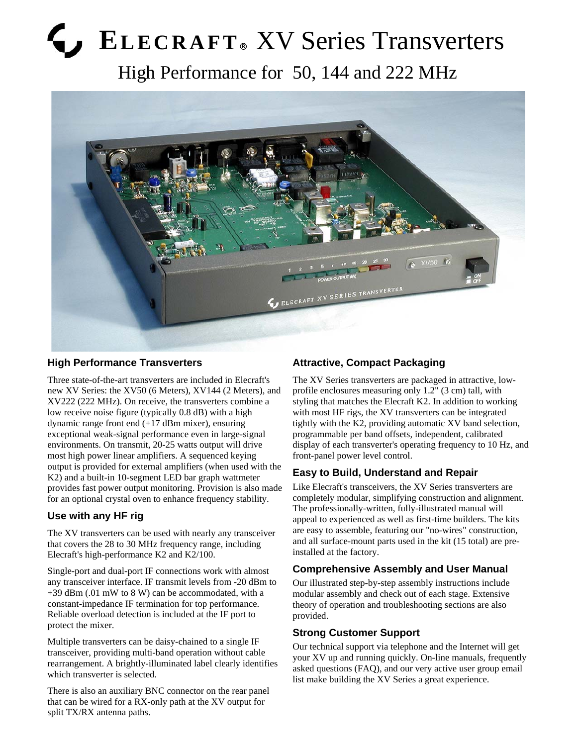# **ELECRAFT** & XV Series Transverters

High Performance for 50, 144 and 222 MHz



## **High Performance Transverters**

Three state-of-the-art transverters are included in Elecraft's new XV Series: the XV50 (6 Meters), XV144 (2 Meters), and XV222 (222 MHz). On receive, the transverters combine a low receive noise figure (typically 0.8 dB) with a high dynamic range front end (+17 dBm mixer), ensuring exceptional weak-signal performance even in large-signal environments. On transmit, 20-25 watts output will drive most high power linear amplifiers. A sequenced keying output is provided for external amplifiers (when used with the K2) and a built-in 10-segment LED bar graph wattmeter provides fast power output monitoring. Provision is also made for an optional crystal oven to enhance frequency stability.

# **Use with any HF rig**

The XV transverters can be used with nearly any transceiver that covers the 28 to 30 MHz frequency range, including Elecraft's high-performance K2 and K2/100.

Single-port and dual-port IF connections work with almost any transceiver interface. IF transmit levels from -20 dBm to +39 dBm (.01 mW to 8 W) can be accommodated, with a constant-impedance IF termination for top performance. Reliable overload detection is included at the IF port to protect the mixer.

Multiple transverters can be daisy-chained to a single IF transceiver, providing multi-band operation without cable rearrangement. A brightly-illuminated label clearly identifies which transverter is selected.

There is also an auxiliary BNC connector on the rear panel that can be wired for a RX-only path at the XV output for split TX/RX antenna paths.

# **Attractive, Compact Packaging**

The XV Series transverters are packaged in attractive, lowprofile enclosures measuring only 1.2" (3 cm) tall, with styling that matches the Elecraft K2. In addition to working with most HF rigs, the XV transverters can be integrated tightly with the K2, providing automatic XV band selection, programmable per band offsets, independent, calibrated display of each transverter's operating frequency to 10 Hz, and front-panel power level control.

# **Easy to Build, Understand and Repair**

Like Elecraft's transceivers, the XV Series transverters are completely modular, simplifying construction and alignment. The professionally-written, fully-illustrated manual will appeal to experienced as well as first-time builders. The kits are easy to assemble, featuring our "no-wires" construction, and all surface-mount parts used in the kit (15 total) are preinstalled at the factory.

# **Comprehensive Assembly and User Manual**

Our illustrated step-by-step assembly instructions include modular assembly and check out of each stage. Extensive theory of operation and troubleshooting sections are also provided.

## **Strong Customer Support**

Our technical support via telephone and the Internet will get your XV up and running quickly. On-line manuals, frequently asked questions (FAQ), and our very active user group email list make building the XV Series a great experience.